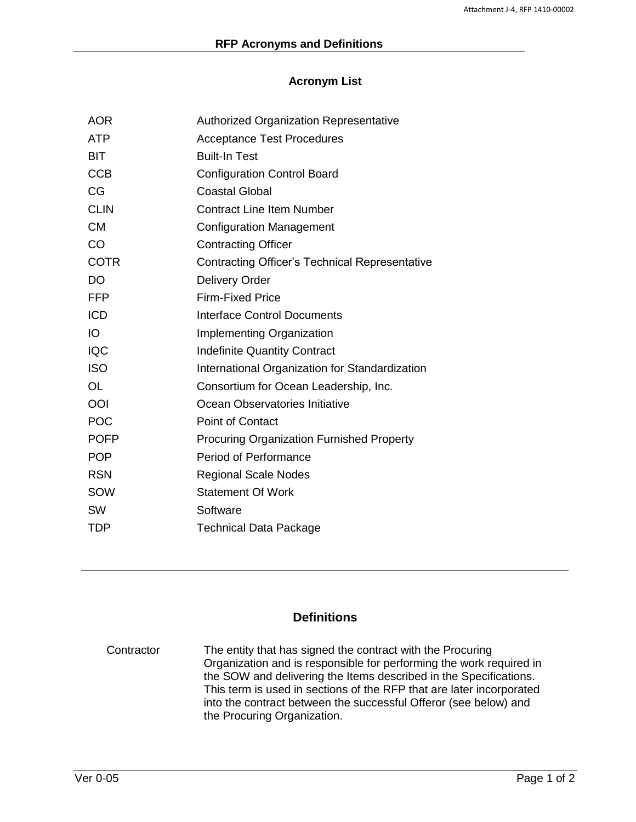## **Acronym List**

| <b>Authorized Organization Representative</b>         |
|-------------------------------------------------------|
| <b>Acceptance Test Procedures</b>                     |
| <b>Built-In Test</b>                                  |
| <b>Configuration Control Board</b>                    |
| <b>Coastal Global</b>                                 |
| <b>Contract Line Item Number</b>                      |
| <b>Configuration Management</b>                       |
| <b>Contracting Officer</b>                            |
| <b>Contracting Officer's Technical Representative</b> |
| <b>Delivery Order</b>                                 |
| <b>Firm-Fixed Price</b>                               |
| <b>Interface Control Documents</b>                    |
| <b>Implementing Organization</b>                      |
| <b>Indefinite Quantity Contract</b>                   |
| International Organization for Standardization        |
| Consortium for Ocean Leadership, Inc.                 |
| Ocean Observatories Initiative                        |
| <b>Point of Contact</b>                               |
| <b>Procuring Organization Furnished Property</b>      |
| <b>Period of Performance</b>                          |
| <b>Regional Scale Nodes</b>                           |
| <b>Statement Of Work</b>                              |
| Software                                              |
| <b>Technical Data Package</b>                         |
|                                                       |

## **Definitions**

Contractor The entity that has signed the contract with the Procuring Organization and is responsible for performing the work required in the SOW and delivering the Items described in the Specifications. This term is used in sections of the RFP that are later incorporated into the contract between the successful Offeror (see below) and the Procuring Organization.